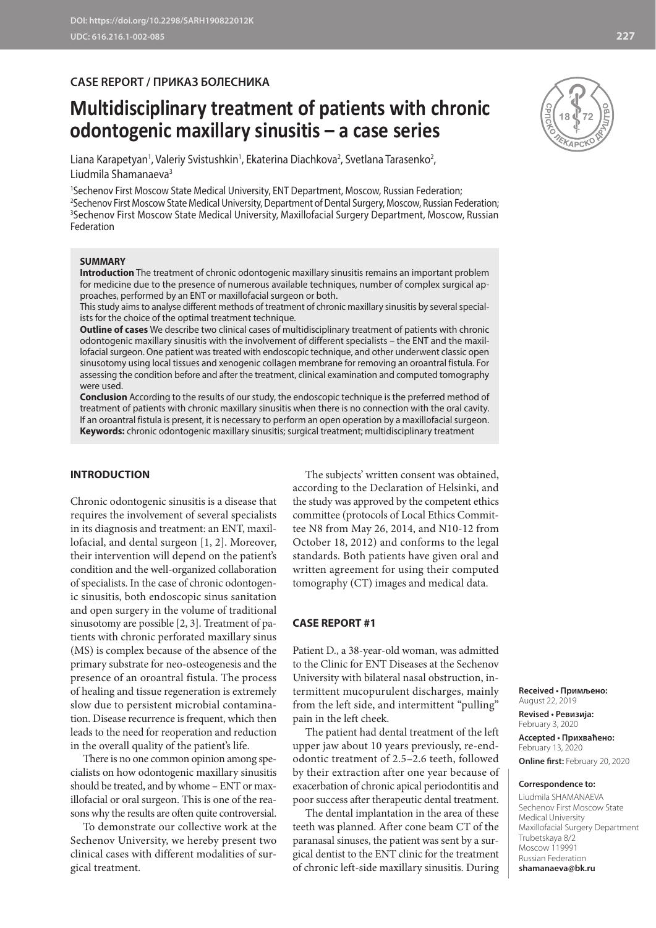### **CASE REPORT / ПРИКАЗ БОЛЕСНИКА**

# **Multidisciplinary treatment of patients with chronic odontogenic maxillary sinusitis – a case series**

Liana Karapetyan', Valeriy Svistushkin', Ekaterina Diachkova<sup>2</sup>, Svetlana Tarasenko<sup>2</sup>, Liudmila Shamanaeva<sup>3</sup>

 Sechenov First Moscow State Medical University, ENT Department, Moscow, Russian Federation; Sechenov First Moscow State Medical University, Department of Dental Surgery, Moscow, Russian Federation; Sechenov First Moscow State Medical University, Maxillofacial Surgery Department, Moscow, Russian Federation

#### **SUMMARY**

**Introduction** The treatment of chronic odontogenic maxillary sinusitis remains an important problem for medicine due to the presence of numerous available techniques, number of complex surgical approaches, performed by an ENT or maxillofacial surgeon or both.

This study aims to analyse different methods of treatment of chronic maxillary sinusitis by several specialists for the choice of the optimal treatment technique.

**Outline of cases** We describe two clinical cases of multidisciplinary treatment of patients with chronic odontogenic maxillary sinusitis with the involvement of different specialists – the ENT and the maxillofacial surgeon. One patient was treated with endoscopic technique, and other underwent classic open sinusotomy using local tissues and xenogenic collagen membrane for removing an oroantral fistula. For assessing the condition before and after the treatment, clinical examination and computed tomography were used.

**Conclusion** According to the results of our study, the endoscopic technique is the preferred method of treatment of patients with chronic maxillary sinusitis when there is no connection with the oral cavity. If an oroantral fistula is present, it is necessary to perform an open operation by a maxillofacial surgeon. **Keywords:** chronic odontogenic maxillary sinusitis; surgical treatment; multidisciplinary treatment

#### **INTRODUCTION**

Chronic odontogenic sinusitis is a disease that requires the involvement of several specialists in its diagnosis and treatment: an ENT, maxillofacial, and dental surgeon [1, 2]. Moreover, their intervention will depend on the patient's condition and the well-organized collaboration of specialists. In the case of chronic odontogenic sinusitis, both endoscopic sinus sanitation and open surgery in the volume of traditional sinusotomy are possible [2, 3]. Treatment of patients with chronic perforated maxillary sinus (MS) is complex because of the absence of the primary substrate for neo-osteogenesis and the presence of an oroantral fistula. The process of healing and tissue regeneration is extremely slow due to persistent microbial contamination. Disease recurrence is frequent, which then leads to the need for reoperation and reduction in the overall quality of the patient's life.

There is no one common opinion among specialists on how odontogenic maxillary sinusitis should be treated, and by whome – ENT or maxillofacial or oral surgeon. This is one of the reasons why the results are often quite controversial.

To demonstrate our collective work at the Sechenov University, we hereby present two clinical cases with different modalities of surgical treatment.

The subjects' written consent was obtained, according to the Declaration of Helsinki, and the study was approved by the competent ethics committee (protocols of Local Ethics Committee N8 from May 26, 2014, and N10-12 from October 18, 2012) and conforms to the legal standards. Both patients have given oral and written agreement for using their computed tomography (CT) images and medical data.

#### **CASE REPORT #1**

Patient D., a 38-year-old woman, was admitted to the Clinic for ENT Diseases at the Sechenov University with bilateral nasal obstruction, intermittent mucopurulent discharges, mainly from the left side, and intermittent "pulling" pain in the left cheek.

The patient had dental treatment of the left upper jaw about 10 years previously, re-endodontic treatment of 2.5–2.6 teeth, followed by their extraction after one year because of exacerbation of chronic apical periodontitis and poor success after therapeutic dental treatment.

The dental implantation in the area of these teeth was planned. After cone beam CT of the paranasal sinuses, the patient was sent by a surgical dentist to the ENT clinic for the treatment of chronic left-side maxillary sinusitis. During

**Received • Примљено:**  August 22, 2019

**Revised • Ревизија:**  February 3, 2020 **Accepted • Прихваћено:** February 13, 2020 **Online first:** February 20, 2020

#### **Correspondence to:**

Liudmila SHAMANAEVA Sechenov First Moscow State Medical University Maxillofacial Surgery Department Trubetskaya 8/2 Moscow 119991 Russian Federation **shamanaeva@bk.ru**

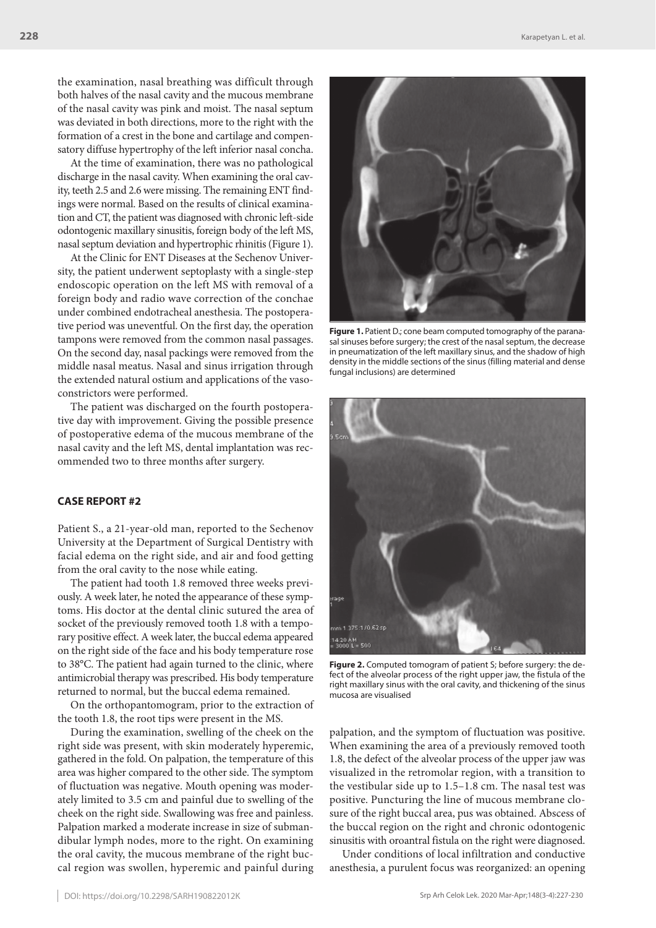the examination, nasal breathing was difficult through both halves of the nasal cavity and the mucous membrane of the nasal cavity was pink and moist. The nasal septum was deviated in both directions, more to the right with the formation of a crest in the bone and cartilage and compensatory diffuse hypertrophy of the left inferior nasal concha.

At the time of examination, there was no pathological discharge in the nasal cavity. When examining the oral cavity, teeth 2.5 and 2.6 were missing. The remaining ENT findings were normal. Based on the results of clinical examination and CT, the patient was diagnosed with chronic left-side odontogenic maxillary sinusitis, foreign body of the left MS, nasal septum deviation and hypertrophic rhinitis (Figure 1).

At the Clinic for ENT Diseases at the Sechenov University, the patient underwent septoplasty with a single-step endoscopic operation on the left MS with removal of a foreign body and radio wave correction of the conchae under combined endotracheal anesthesia. The postoperative period was uneventful. On the first day, the operation tampons were removed from the common nasal passages. On the second day, nasal packings were removed from the middle nasal meatus. Nasal and sinus irrigation through the extended natural ostium and applications of the vasoconstrictors were performed.

The patient was discharged on the fourth postoperative day with improvement. Giving the possible presence of postoperative edema of the mucous membrane of the nasal cavity and the left MS, dental implantation was recommended two to three months after surgery.

#### **CASE REPORT #2**

Patient S., a 21-year-old man, reported to the Sechenov University at the Department of Surgical Dentistry with facial edema on the right side, and air and food getting from the oral cavity to the nose while eating.

The patient had tooth 1.8 removed three weeks previously. A week later, he noted the appearance of these symptoms. His doctor at the dental clinic sutured the area of socket of the previously removed tooth 1.8 with a temporary positive effect. A week later, the buccal edema appeared on the right side of the face and his body temperature rose to 38°C. The patient had again turned to the clinic, where antimicrobial therapy was prescribed. His body temperature returned to normal, but the buccal edema remained.

On the orthopantomogram, prior to the extraction of the tooth 1.8, the root tips were present in the MS.

During the examination, swelling of the cheek on the right side was present, with skin moderately hyperemic, gathered in the fold. On palpation, the temperature of this area was higher compared to the other side. The symptom of fluctuation was negative. Mouth opening was moderately limited to 3.5 cm and painful due to swelling of the cheek on the right side. Swallowing was free and painless. Palpation marked a moderate increase in size of submandibular lymph nodes, more to the right. On examining the oral cavity, the mucous membrane of the right buccal region was swollen, hyperemic and painful during



**Figure 1.** Patient D.; cone beam computed tomography of the paranasal sinuses before surgery; the crest of the nasal septum, the decrease in pneumatization of the left maxillary sinus, and the shadow of high density in the middle sections of the sinus (filling material and dense fungal inclusions) are determined



**Figure 2.** Computed tomogram of patient S; before surgery: the defect of the alveolar process of the right upper jaw, the fistula of the right maxillary sinus with the oral cavity, and thickening of the sinus mucosa are visualised

palpation, and the symptom of fluctuation was positive. When examining the area of a previously removed tooth 1.8, the defect of the alveolar process of the upper jaw was visualized in the retromolar region, with a transition to the vestibular side up to 1.5–1.8 cm. The nasal test was positive. Puncturing the line of mucous membrane closure of the right buccal area, pus was obtained. Abscess of the buccal region on the right and chronic odontogenic sinusitis with oroantral fistula on the right were diagnosed.

Under conditions of local infiltration and conductive anesthesia, a purulent focus was reorganized: an opening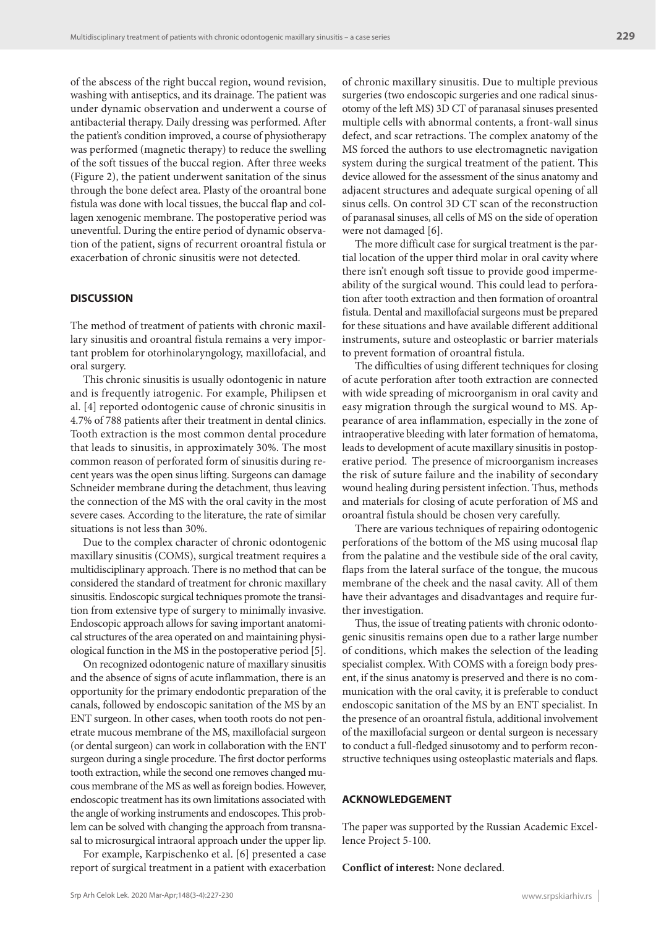of the abscess of the right buccal region, wound revision, washing with antiseptics, and its drainage. The patient was under dynamic observation and underwent a course of antibacterial therapy. Daily dressing was performed. After the patient's condition improved, a course of physiotherapy was performed (magnetic therapy) to reduce the swelling of the soft tissues of the buccal region. After three weeks (Figure 2), the patient underwent sanitation of the sinus through the bone defect area. Plasty of the oroantral bone fistula was done with local tissues, the buccal flap and collagen xenogenic membrane. The postoperative period was uneventful. During the entire period of dynamic observation of the patient, signs of recurrent oroantral fistula or exacerbation of chronic sinusitis were not detected.

#### **DISCUSSION**

The method of treatment of patients with chronic maxillary sinusitis and oroantral fistula remains a very important problem for otorhinolaryngology, maxillofacial, and oral surgery.

This chronic sinusitis is usually odontogenic in nature and is frequently iatrogenic. For example, Philipsen et al. [4] reported odontogenic cause of chronic sinusitis in 4.7% of 788 patients after their treatment in dental clinics. Tooth extraction is the most common dental procedure that leads to sinusitis, in approximately 30%. The most common reason of perforated form of sinusitis during recent years was the open sinus lifting. Surgeons can damage Schneider membrane during the detachment, thus leaving the connection of the MS with the oral cavity in the most severe cases. According to the literature, the rate of similar situations is not less than 30%.

Due to the complex character of chronic odontogenic maxillary sinusitis (COMS), surgical treatment requires a multidisciplinary approach. There is no method that can be considered the standard of treatment for chronic maxillary sinusitis. Endoscopic surgical techniques promote the transition from extensive type of surgery to minimally invasive. Endoscopic approach allows for saving important anatomical structures of the area operated on and maintaining physiological function in the MS in the postoperative period [5].

On recognized odontogenic nature of maxillary sinusitis and the absence of signs of acute inflammation, there is an opportunity for the primary endodontic preparation of the canals, followed by endoscopic sanitation of the MS by an ENT surgeon. In other cases, when tooth roots do not penetrate mucous membrane of the MS, maxillofacial surgeon (or dental surgeon) can work in collaboration with the ENT surgeon during a single procedure. The first doctor performs tooth extraction, while the second one removes changed mucous membrane of the MS as well as foreign bodies. However, endoscopic treatment has its own limitations associated with the angle of working instruments and endoscopes. This problem can be solved with changing the approach from transnasal to microsurgical intraoral approach under the upper lip.

For example, Karpischenko et al. [6] presented a case report of surgical treatment in a patient with exacerbation

of chronic maxillary sinusitis. Due to multiple previous surgeries (two endoscopic surgeries and one radical sinusotomy of the left MS) 3D CT of paranasal sinuses presented multiple cells with abnormal contents, a front-wall sinus defect, and scar retractions. The complex anatomy of the MS forced the authors to use electromagnetic navigation system during the surgical treatment of the patient. This device allowed for the assessment of the sinus anatomy and adjacent structures and adequate surgical opening of all sinus cells. On control 3D CT scan of the reconstruction of paranasal sinuses, all cells of MS on the side of operation were not damaged [6].

The more difficult case for surgical treatment is the partial location of the upper third molar in oral cavity where there isn't enough soft tissue to provide good impermeability of the surgical wound. This could lead to perforation after tooth extraction and then formation of oroantral fistula. Dental and maxillofacial surgeons must be prepared for these situations and have available different additional instruments, suture and osteoplastic or barrier materials to prevent formation of oroantral fistula.

The difficulties of using different techniques for closing of acute perforation after tooth extraction are connected with wide spreading of microorganism in oral cavity and easy migration through the surgical wound to MS. Appearance of area inflammation, especially in the zone of intraoperative bleeding with later formation of hematoma, leads to development of acute maxillary sinusitis in postoperative period. The presence of microorganism increases the risk of suture failure and the inability of secondary wound healing during persistent infection. Thus, methods and materials for closing of acute perforation of MS and oroantral fistula should be chosen very carefully.

There are various techniques of repairing odontogenic perforations of the bottom of the MS using mucosal flap from the palatine and the vestibule side of the oral cavity, flaps from the lateral surface of the tongue, the mucous membrane of the cheek and the nasal cavity. All of them have their advantages and disadvantages and require further investigation.

Thus, the issue of treating patients with chronic odontogenic sinusitis remains open due to a rather large number of conditions, which makes the selection of the leading specialist complex. With COMS with a foreign body present, if the sinus anatomy is preserved and there is no communication with the oral cavity, it is preferable to conduct endoscopic sanitation of the MS by an ENT specialist. In the presence of an oroantral fistula, additional involvement of the maxillofacial surgeon or dental surgeon is necessary to conduct a full-fledged sinusotomy and to perform reconstructive techniques using osteoplastic materials and flaps.

#### **ACKNOWLEDGEMENT**

The paper was supported by the Russian Academic Excellence Project 5-100.

**Conflict of interest:** None declared.